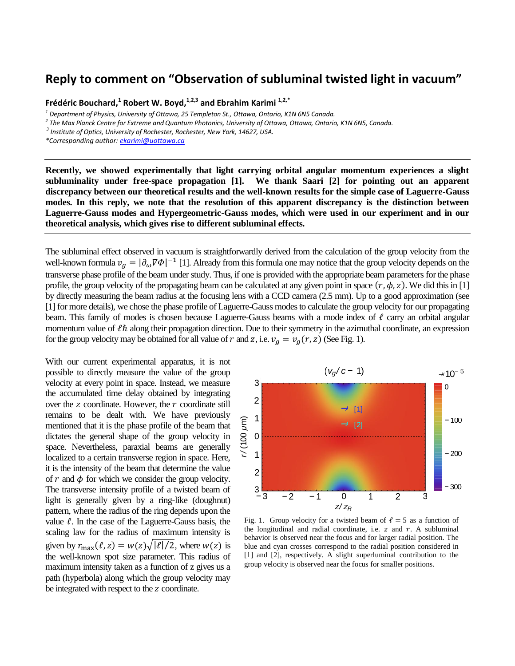## **Reply to comment on "Observation of subluminal twisted light in vacuum"**

**Frédéric Bouchard, 1 Robert W. Boyd,1,2,3 and Ebrahim Karimi 1,2,\***

*1 Department of Physics, University of Ottawa, 25 Templeton St., Ottawa, Ontario, K1N 6N5 Canada.*

*2 The Max Planck Centre for Extreme and Quantum Photonics, University of Ottawa, Ottawa, Ontario, K1N 6N5, Canada.*

*3 Institute of Optics, University of Rochester, Rochester, New York, 14627, USA.*

*\*Corresponding author[: ekarimi@uottawa.ca](mailto:ekarimi@uottawa.ca)*

**Recently, we showed experimentally that light carrying orbital angular momentum experiences a slight subluminality under free-space propagation [1]. We thank Saari [2] for pointing out an apparent discrepancy between our theoretical results and the well-known results for the simple case of Laguerre-Gauss modes. In this reply, we note that the resolution of this apparent discrepancy is the distinction between Laguerre-Gauss modes and Hypergeometric-Gauss modes, which were used in our experiment and in our theoretical analysis, which gives rise to different subluminal effects.**

The subluminal effect observed in vacuum is straightforwardly derived from the calculation of the group velocity from the well-known formula  $v_a = |\partial_\omega \nabla \Phi|^{-1}$  [1]. Already from this formula one may notice that the group velocity depends on the transverse phase profile of the beam under study. Thus, if one is provided with the appropriate beam parameters for the phase profile, the group velocity of the propagating beam can be calculated at any given point in space  $(r, \phi, z)$ . We did this in [1] by directly measuring the beam radius at the focusing lens with a CCD camera (2.5 mm). Up to a good approximation (see [1] for more details), we chose the phase profile of Laguerre-Gauss modes to calculate the group velocity for our propagating beam. This family of modes is chosen because Laguerre-Gauss beams with a mode index of  $\ell$  carry an orbital angular momentum value of  $\ell\hbar$  along their propagation direction. Due to their symmetry in the azimuthal coordinate, an expression for the group velocity may be obtained for all value of r and z, i.e.  $v_q = v_q(r, z)$  (See Fig. 1). (a) alate the group velocity for our propagating mode index of  $\ell$  carry an orbital angular in the azimuthal coordinate, an expression (See Fig. 1).<br>(See Fig. 1).<br>( $v_g/c - 1$ ) → 10<sup>−5</sup>

With our current experimental apparatus, it is not possible to directly measure the value of the group velocity at every point in space. Instead, we measure the accumulated time delay obtained by integrating over the z coordinate. However, the  $r$  coordinate still remains to be dealt with. We have previously mentioned that it is the phase profile of the beam that dictates the general shape of the group velocity in space. Nevertheless, paraxial beams are generally localized to a certain transverse region in space. Here, it is the intensity of the beam that determine the value of r and  $\phi$  for which we consider the group velocity. The transverse intensity profile of a twisted beam of light is generally given by a ring-like (doughnut) pattern, where the radius of the ring depends upon the value  $\ell$ . In the case of the Laguerre-Gauss basis, the scaling law for the radius of maximum intensity is given by  $r_{\text{max}}(\ell, z) = w(z) \sqrt{|\ell|/2}$ , where  $w(z)$  is the well-known spot size parameter. This radius of maximum intensity taken as a function of z gives us a path (hyperbola) along which the group velocity may be integrated with respect to the z coordinate.



Fig. 1. Group velocity for a twisted beam of  $\ell = 5$  as a function of the longitudinal and radial coordinate, i.e.  $z$  and  $r$ . A subluminal behavior is observed near the focus and for larger radial position. The blue and cyan crosses correspond to the radial position considered in [1] and [2], respectively. A slight superluminal contribution to the group velocity is observed near the focus for smaller positions.